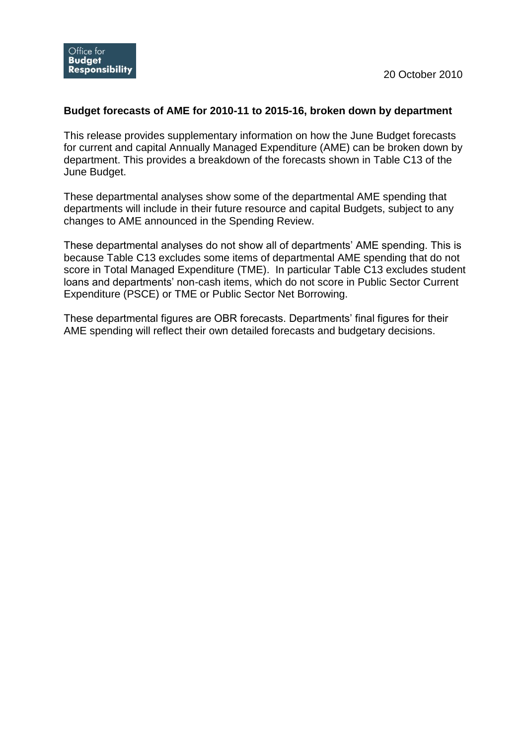## **Budget forecasts of AME for 2010-11 to 2015-16, broken down by department**

This release provides supplementary information on how the June Budget forecasts for current and capital Annually Managed Expenditure (AME) can be broken down by department. This provides a breakdown of the forecasts shown in Table C13 of the June Budget.

These departmental analyses show some of the departmental AME spending that departments will include in their future resource and capital Budgets, subject to any changes to AME announced in the Spending Review.

These departmental analyses do not show all of departments' AME spending. This is because Table C13 excludes some items of departmental AME spending that do not score in Total Managed Expenditure (TME). In particular Table C13 excludes student loans and departments' non-cash items, which do not score in Public Sector Current Expenditure (PSCE) or TME or Public Sector Net Borrowing.

These departmental figures are OBR forecasts. Departments' final figures for their AME spending will reflect their own detailed forecasts and budgetary decisions.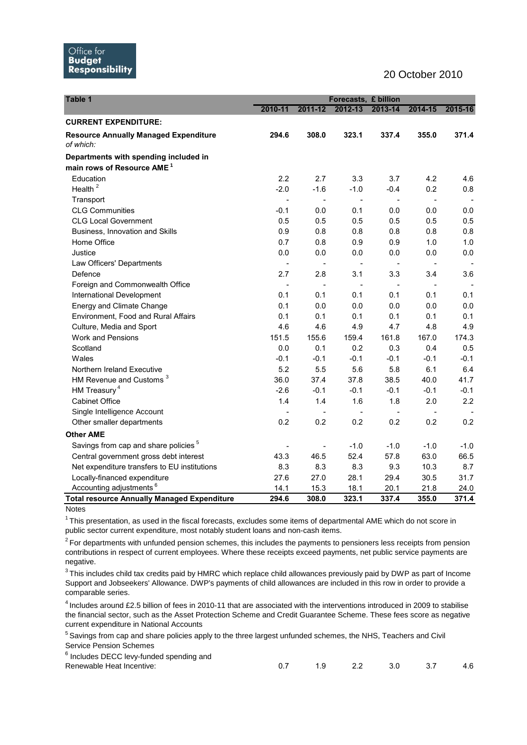## 20 October 2010

| Table 1                                                   | Forecasts, £ billion |                          |                |                |         |         |  |
|-----------------------------------------------------------|----------------------|--------------------------|----------------|----------------|---------|---------|--|
|                                                           | 2010-11              | 2011-12                  | 2012-13        | 2013-14        | 2014-15 | 2015-16 |  |
| <b>CURRENT EXPENDITURE:</b>                               |                      |                          |                |                |         |         |  |
| <b>Resource Annually Managed Expenditure</b><br>of which: | 294.6                | 308.0                    | 323.1          | 337.4          | 355.0   | 371.4   |  |
| Departments with spending included in                     |                      |                          |                |                |         |         |  |
| main rows of Resource AME <sup>1</sup>                    |                      |                          |                |                |         |         |  |
| Education                                                 | 2.2                  | 2.7                      | 3.3            | 3.7            | 4.2     | 4.6     |  |
| Health $2$                                                | $-2.0$               | $-1.6$                   | $-1.0$         | $-0.4$         | 0.2     | 0.8     |  |
| Transport                                                 |                      | $\blacksquare$           | $\blacksquare$ | $\blacksquare$ | $\sim$  |         |  |
| <b>CLG Communities</b>                                    | $-0.1$               | 0.0                      | 0.1            | 0.0            | 0.0     | 0.0     |  |
| <b>CLG Local Government</b>                               | 0.5                  | 0.5                      | 0.5            | 0.5            | 0.5     | 0.5     |  |
| Business, Innovation and Skills                           | 0.9                  | 0.8                      | 0.8            | 0.8            | 0.8     | 0.8     |  |
| Home Office                                               | 0.7                  | 0.8                      | 0.9            | 0.9            | 1.0     | 1.0     |  |
| Justice                                                   | 0.0                  | 0.0                      | 0.0            | 0.0            | 0.0     | 0.0     |  |
| Law Officers' Departments                                 |                      |                          |                |                |         |         |  |
| Defence                                                   | 2.7                  | 2.8                      | 3.1            | 3.3            | 3.4     | 3.6     |  |
| Foreign and Commonwealth Office                           |                      | $\overline{\phantom{a}}$ |                | $\overline{a}$ | $\sim$  |         |  |
| International Development                                 | 0.1                  | 0.1                      | 0.1            | 0.1            | 0.1     | 0.1     |  |
| <b>Energy and Climate Change</b>                          | 0.1                  | 0.0                      | 0.0            | 0.0            | 0.0     | 0.0     |  |
| Environment, Food and Rural Affairs                       | 0.1                  | 0.1                      | 0.1            | 0.1            | 0.1     | 0.1     |  |
| Culture, Media and Sport                                  | 4.6                  | 4.6                      | 4.9            | 4.7            | 4.8     | 4.9     |  |
| <b>Work and Pensions</b>                                  | 151.5                | 155.6                    | 159.4          | 161.8          | 167.0   | 174.3   |  |
| Scotland                                                  | 0.0                  | 0.1                      | 0.2            | 0.3            | 0.4     | 0.5     |  |
| Wales                                                     | $-0.1$               | $-0.1$                   | $-0.1$         | $-0.1$         | $-0.1$  | $-0.1$  |  |
| Northern Ireland Executive                                | 5.2                  | 5.5                      | 5.6            | 5.8            | 6.1     | 6.4     |  |
| HM Revenue and Customs <sup>3</sup>                       | 36.0                 | 37.4                     | 37.8           | 38.5           | 40.0    | 41.7    |  |
| HM Treasury <sup>4</sup>                                  | $-2.6$               | $-0.1$                   | $-0.1$         | $-0.1$         | $-0.1$  | $-0.1$  |  |
| <b>Cabinet Office</b>                                     | 1.4                  | 1.4                      | 1.6            | 1.8            | 2.0     | 2.2     |  |
| Single Intelligence Account                               |                      | $\blacksquare$           |                | $\blacksquare$ | $\sim$  |         |  |
| Other smaller departments                                 | 0.2                  | 0.2                      | 0.2            | 0.2            | 0.2     | 0.2     |  |
| <b>Other AME</b>                                          |                      |                          |                |                |         |         |  |
| Savings from cap and share policies <sup>5</sup>          |                      | $\blacksquare$           | $-1.0$         | $-1.0$         | $-1.0$  | -1.0    |  |
| Central government gross debt interest                    | 43.3                 | 46.5                     | 52.4           | 57.8           | 63.0    | 66.5    |  |
| Net expenditure transfers to EU institutions              | 8.3                  | 8.3                      | 8.3            | 9.3            | 10.3    | 8.7     |  |
| Locally-financed expenditure                              | 27.6                 | 27.0                     | 28.1           | 29.4           | 30.5    | 31.7    |  |
| Accounting adjustments <sup>6</sup>                       | 14.1                 | 15.3                     | 18.1           | 20.1           | 21.8    | 24.0    |  |
| <b>Total resource Annually Managed Expenditure</b>        | 294.6                | 308.0                    | 323.1          | 337.4          | 355.0   | 371.4   |  |

**Notes** 

 $1$ This presentation, as used in the fiscal forecasts, excludes some items of departmental AME which do not score in public sector current expenditure, most notably student loans and non-cash items.

 $2$ For departments with unfunded pension schemes, this includes the payments to pensioners less receipts from pension contributions in respect of current employees. Where these receipts exceed payments, net public service payments are negative.

 $3$ This includes child tax credits paid by HMRC which replace child allowances previously paid by DWP as part of Income Support and Jobseekers' Allowance. DWP's payments of child allowances are included in this row in order to provide a comparable series.

<sup>4</sup> Includes around £2.5 billion of fees in 2010-11 that are associated with the interventions introduced in 2009 to stabilise the financial sector, such as the Asset Protection Scheme and Credit Guarantee Scheme. These fees score as negative current expenditure in National Accounts

<sup>5</sup> Savings from cap and share policies apply to the three largest unfunded schemes, the NHS, Teachers and Civil Service Pension Schemes

| <sup>6</sup> Includes DECC levy-funded spending and |         |     |      |
|-----------------------------------------------------|---------|-----|------|
| Renewable Heat Incentive:                           | 1.9 2.2 | 3.0 | -4.6 |